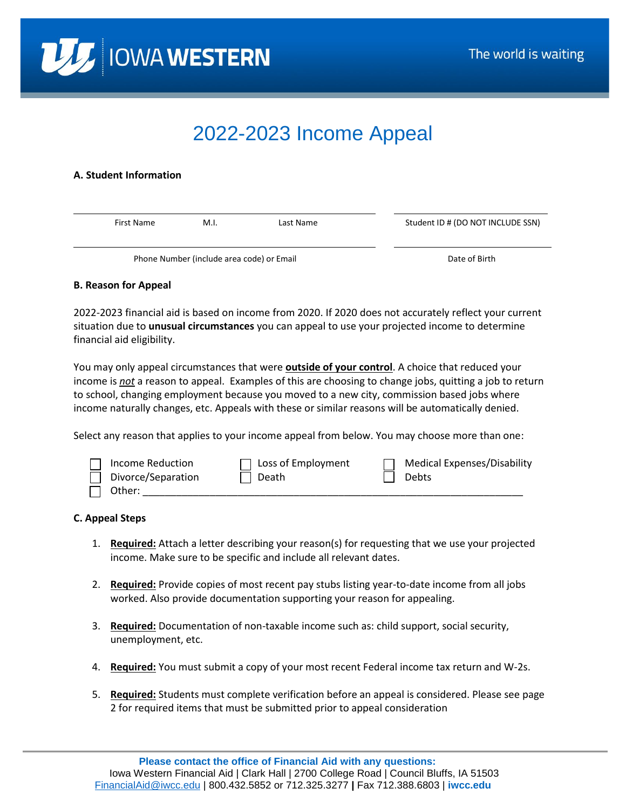

# 2022-2023 Income Appeal

## **A. Student Information**

| First Name | M.I.                                      | Last Name |  | Student ID # (DO NOT INCLUDE SSN) |
|------------|-------------------------------------------|-----------|--|-----------------------------------|
|            |                                           |           |  |                                   |
|            | Phone Number (include area code) or Email |           |  | Date of Birth                     |

## **B. Reason for Appeal**

2022-2023 financial aid is based on income from 2020. If 2020 does not accurately reflect your current situation due to **unusual circumstances** you can appeal to use your projected income to determine financial aid eligibility.

You may only appeal circumstances that were **outside of your control**. A choice that reduced your income is *not* a reason to appeal. Examples of this are choosing to change jobs, quitting a job to return to school, changing employment because you moved to a new city, commission based jobs where income naturally changes, etc. Appeals with these or similar reasons will be automatically denied.

Select any reason that applies to your income appeal from below. You may choose more than one:

| Income Reduction   | $\Box$ Loss of Employment | Medical Expenses/Disability |
|--------------------|---------------------------|-----------------------------|
| Divorce/Separation | ∣ ∣ Death                 | Debts                       |
| Other:             |                           |                             |

#### **C. Appeal Steps**

- 1. **Required:** Attach a letter describing your reason(s) for requesting that we use your projected income. Make sure to be specific and include all relevant dates.
- 2. **Required:** Provide copies of most recent pay stubs listing year-to-date income from all jobs worked. Also provide documentation supporting your reason for appealing.
- 3. **Required:** Documentation of non-taxable income such as: child support, social security, unemployment, etc.
- 4. **Required:** You must submit a copy of your most recent Federal income tax return and W-2s.
- 5. **Required:** Students must complete verification before an appeal is considered. Please see page 2 for required items that must be submitted prior to appeal consideration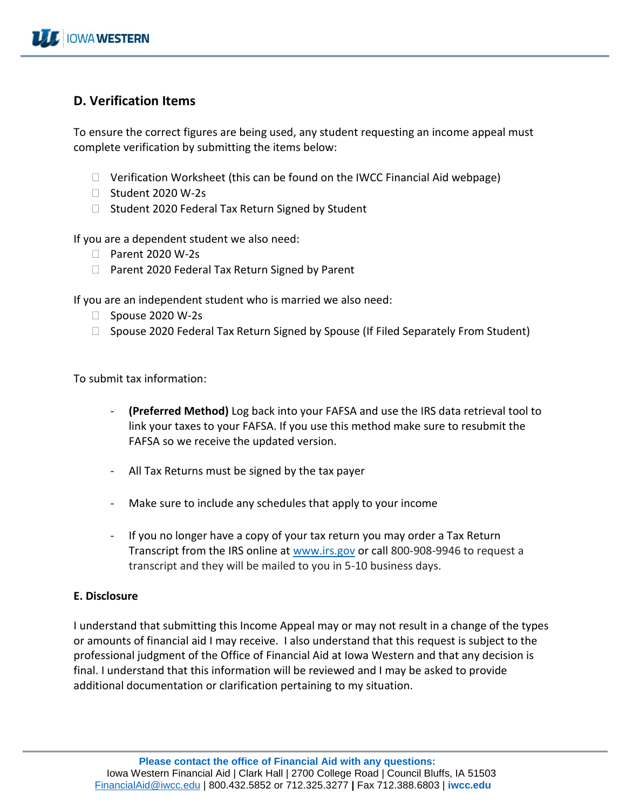# **D. Verification Items**

To ensure the correct figures are being used, any student requesting an income appeal must complete verification by submitting the items below:

- $\Box$  Verification Worksheet (this can be found on the IWCC Financial Aid webpage)
- $\Box$  Student 2020 W-2s
- $\Box$  Student 2020 Federal Tax Return Signed by Student

If you are a dependent student we also need:

- □ Parent 2020 W-2s
- $\Box$  Parent 2020 Federal Tax Return Signed by Parent

If you are an independent student who is married we also need:

- $\Box$  Spouse 2020 W-2s
- $\Box$  Spouse 2020 Federal Tax Return Signed by Spouse (If Filed Separately From Student)

To submit tax information:

- **(Preferred Method)** Log back into your FAFSA and use the IRS data retrieval tool to link your taxes to your FAFSA. If you use this method make sure to resubmit the FAFSA so we receive the updated version.
- All Tax Returns must be signed by the tax payer
- Make sure to include any schedules that apply to your income
- If you no longer have a copy of your tax return you may order a Tax Return Transcript from the IRS online at [www.irs.gov](http://www.irs.gov/) or call 800-908-9946 to request a transcript and they will be mailed to you in 5-10 business days.

# **E. Disclosure**

I understand that submitting this Income Appeal may or may not result in a change of the types or amounts of financial aid I may receive. I also understand that this request is subject to the professional judgment of the Office of Financial Aid at Iowa Western and that any decision is final. I understand that this information will be reviewed and I may be asked to provide additional documentation or clarification pertaining to my situation.